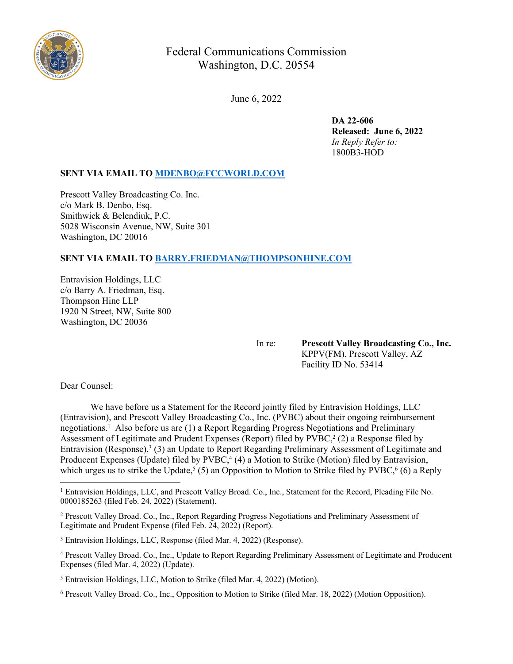

# Federal Communications Commission Washington, D.C. 20554

June 6, 2022

**DA 22-606 Released: June 6, 2022** *In Reply Refer to:* 1800B3-HOD

# **SENT VIA EMAIL TO [MDENBO@FCCWORLD.COM](mailto:MDENBO@FCCWORLD.COM)**

Prescott Valley Broadcasting Co. Inc. c/o Mark B. Denbo, Esq. Smithwick & Belendiuk, P.C. 5028 Wisconsin Avenue, NW, Suite 301 Washington, DC 20016

# **SENT VIA EMAIL TO [BARRY.FRIEDMAN@THOMPSONHINE.COM](mailto:BARRY.FRIEDMAN@THOMPSONHINE.COM)**

Entravision Holdings, LLC c/o Barry A. Friedman, Esq. Thompson Hine LLP 1920 N Street, NW, Suite 800 Washington, DC 20036

In re: **Prescott Valley Broadcasting Co., Inc.** KPPV(FM), Prescott Valley, AZ Facility ID No. 53414

Dear Counsel:

We have before us a Statement for the Record jointly filed by Entravision Holdings, LLC (Entravision), and Prescott Valley Broadcasting Co., Inc. (PVBC) about their ongoing reimbursement negotiations.<sup>1</sup> Also before us are (1) a Report Regarding Progress Negotiations and Preliminary Assessment of Legitimate and Prudent Expenses (Report) filed by  $\text{PVBC}^2(2)$  a Response filed by Entravision (Response),<sup>3</sup> (3) an Update to Report Regarding Preliminary Assessment of Legitimate and Producent Expenses (Update) filed by PVBC,<sup>4</sup> (4) a Motion to Strike (Motion) filed by Entravision, which urges us to strike the Update,<sup>5</sup> (5) an Opposition to Motion to Strike filed by PVBC,<sup>6</sup> (6) a Reply

<sup>&</sup>lt;sup>1</sup> Entravision Holdings, LLC, and Prescott Valley Broad. Co., Inc., Statement for the Record, Pleading File No. 0000185263 (filed Feb. 24, 2022) (Statement).

<sup>2</sup> Prescott Valley Broad. Co., Inc., Report Regarding Progress Negotiations and Preliminary Assessment of Legitimate and Prudent Expense (filed Feb. 24, 2022) (Report).

<sup>&</sup>lt;sup>3</sup> Entravision Holdings, LLC, Response (filed Mar. 4, 2022) (Response).

<sup>4</sup> Prescott Valley Broad. Co., Inc., Update to Report Regarding Preliminary Assessment of Legitimate and Producent Expenses (filed Mar. 4, 2022) (Update).

<sup>&</sup>lt;sup>5</sup> Entravision Holdings, LLC, Motion to Strike (filed Mar. 4, 2022) (Motion).

<sup>6</sup> Prescott Valley Broad. Co., Inc., Opposition to Motion to Strike (filed Mar. 18, 2022) (Motion Opposition).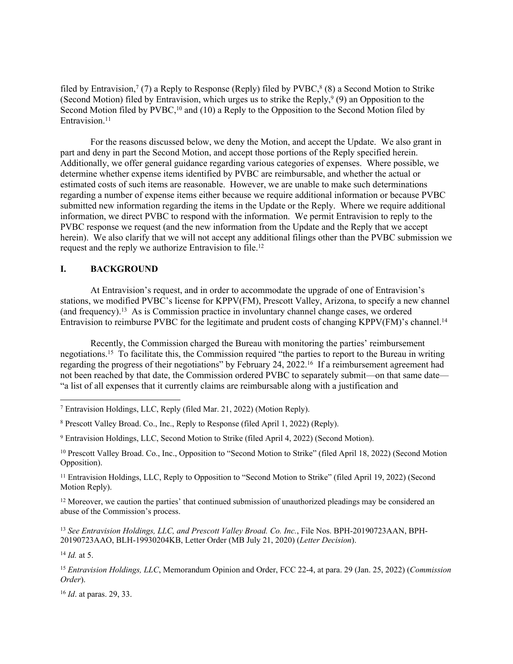filed by Entravision,<sup>7</sup> (7) a Reply to Response (Reply) filed by  $\text{PVBC},^8$  (8) a Second Motion to Strike (Second Motion) filed by Entravision, which urges us to strike the Reply,  $9(9)$  an Opposition to the Second Motion filed by PVBC,<sup>10</sup> and (10) a Reply to the Opposition to the Second Motion filed by Entravision.<sup>11</sup>

For the reasons discussed below, we deny the Motion, and accept the Update. We also grant in part and deny in part the Second Motion, and accept those portions of the Reply specified herein. Additionally, we offer general guidance regarding various categories of expenses. Where possible, we determine whether expense items identified by PVBC are reimbursable, and whether the actual or estimated costs of such items are reasonable. However, we are unable to make such determinations regarding a number of expense items either because we require additional information or because PVBC submitted new information regarding the items in the Update or the Reply. Where we require additional information, we direct PVBC to respond with the information. We permit Entravision to reply to the PVBC response we request (and the new information from the Update and the Reply that we accept herein). We also clarify that we will not accept any additional filings other than the PVBC submission we request and the reply we authorize Entravision to file.<sup>12</sup>

## **I. BACKGROUND**

At Entravision's request, and in order to accommodate the upgrade of one of Entravision's stations, we modified PVBC's license for KPPV(FM), Prescott Valley, Arizona, to specify a new channel (and frequency).<sup>13</sup> As is Commission practice in involuntary channel change cases, we ordered Entravision to reimburse PVBC for the legitimate and prudent costs of changing KPPV(FM)'s channel.<sup>14</sup>

Recently, the Commission charged the Bureau with monitoring the parties' reimbursement negotiations.<sup>15</sup> To facilitate this, the Commission required "the parties to report to the Bureau in writing regarding the progress of their negotiations" by February 24, 2022.<sup>16</sup> If a reimbursement agreement had not been reached by that date, the Commission ordered PVBC to separately submit—on that same date— "a list of all expenses that it currently claims are reimbursable along with a justification and

<sup>11</sup> Entravision Holdings, LLC, Reply to Opposition to "Second Motion to Strike" (filed April 19, 2022) (Second Motion Reply).

<sup>12</sup> Moreover, we caution the parties' that continued submission of unauthorized pleadings may be considered an abuse of the Commission's process.

<sup>13</sup> *See Entravision Holdings, LLC, and Prescott Valley Broad. Co. Inc.*, File Nos. BPH-20190723AAN, BPH-20190723AAO, BLH-19930204KB, Letter Order (MB July 21, 2020) (*Letter Decision*).

<sup>14</sup> *Id.* at 5.

<sup>16</sup> *Id*. at paras. 29, 33.

<sup>7</sup> Entravision Holdings, LLC, Reply (filed Mar. 21, 2022) (Motion Reply).

<sup>8</sup> Prescott Valley Broad. Co., Inc., Reply to Response (filed April 1, 2022) (Reply).

<sup>9</sup> Entravision Holdings, LLC, Second Motion to Strike (filed April 4, 2022) (Second Motion).

<sup>10</sup> Prescott Valley Broad. Co., Inc., Opposition to "Second Motion to Strike" (filed April 18, 2022) (Second Motion Opposition).

<sup>15</sup> *Entravision Holdings, LLC*, Memorandum Opinion and Order, FCC 22-4, at para. 29 (Jan. 25, 2022) (*Commission Order*).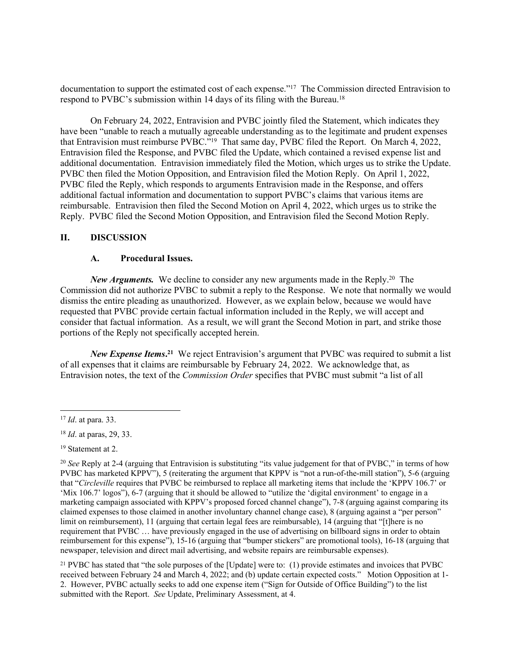documentation to support the estimated cost of each expense."<sup>17</sup> The Commission directed Entravision to respond to PVBC's submission within 14 days of its filing with the Bureau.<sup>18</sup>

On February 24, 2022, Entravision and PVBC jointly filed the Statement, which indicates they have been "unable to reach a mutually agreeable understanding as to the legitimate and prudent expenses that Entravision must reimburse PVBC."<sup>19</sup> That same day, PVBC filed the Report. On March 4, 2022, Entravision filed the Response, and PVBC filed the Update, which contained a revised expense list and additional documentation. Entravision immediately filed the Motion, which urges us to strike the Update. PVBC then filed the Motion Opposition, and Entravision filed the Motion Reply. On April 1, 2022, PVBC filed the Reply, which responds to arguments Entravision made in the Response, and offers additional factual information and documentation to support PVBC's claims that various items are reimbursable. Entravision then filed the Second Motion on April 4, 2022, which urges us to strike the Reply. PVBC filed the Second Motion Opposition, and Entravision filed the Second Motion Reply.

## **II. DISCUSSION**

#### **A. Procedural Issues.**

*New Arguments.*We decline to consider any new arguments made in the Reply.<sup>20</sup> The Commission did not authorize PVBC to submit a reply to the Response. We note that normally we would dismiss the entire pleading as unauthorized. However, as we explain below, because we would have requested that PVBC provide certain factual information included in the Reply, we will accept and consider that factual information. As a result, we will grant the Second Motion in part, and strike those portions of the Reply not specifically accepted herein.

New Expense Items.<sup>21</sup> We reject Entravision's argument that PVBC was required to submit a list of all expenses that it claims are reimbursable by February 24, 2022. We acknowledge that, as Entravision notes, the text of the *Commission Order* specifies that PVBC must submit "a list of all

<sup>21</sup> PVBC has stated that "the sole purposes of the [Update] were to: (1) provide estimates and invoices that PVBC received between February 24 and March 4, 2022; and (b) update certain expected costs." Motion Opposition at 1- 2. However, PVBC actually seeks to add one expense item ("Sign for Outside of Office Building") to the list submitted with the Report. *See* Update, Preliminary Assessment, at 4.

<sup>17</sup> *Id*. at para. 33.

<sup>18</sup> *Id*. at paras, 29, 33.

<sup>19</sup> Statement at 2.

<sup>20</sup> *See* Reply at 2-4 (arguing that Entravision is substituting "its value judgement for that of PVBC," in terms of how PVBC has marketed KPPV"), 5 (reiterating the argument that KPPV is "not a run-of-the-mill station"), 5-6 (arguing that "*Circleville* requires that PVBC be reimbursed to replace all marketing items that include the 'KPPV 106.7' or 'Mix 106.7' logos"), 6-7 (arguing that it should be allowed to "utilize the 'digital environment' to engage in a marketing campaign associated with KPPV's proposed forced channel change"), 7-8 (arguing against comparing its claimed expenses to those claimed in another involuntary channel change case), 8 (arguing against a "per person" limit on reimbursement), 11 (arguing that certain legal fees are reimbursable), 14 (arguing that "[t]here is no requirement that PVBC … have previously engaged in the use of advertising on billboard signs in order to obtain reimbursement for this expense"), 15-16 (arguing that "bumper stickers" are promotional tools), 16-18 (arguing that newspaper, television and direct mail advertising, and website repairs are reimbursable expenses).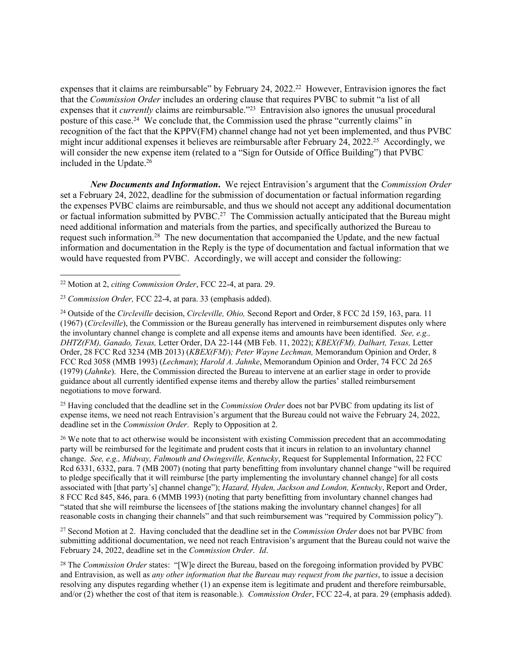expenses that it claims are reimbursable" by February 24, 2022.<sup>22</sup> However, Entravision ignores the fact that the *Commission Order* includes an ordering clause that requires PVBC to submit "a list of all expenses that it *currently* claims are reimbursable."<sup>23</sup> Entravision also ignores the unusual procedural posture of this case.<sup>24</sup> We conclude that, the Commission used the phrase "currently claims" in recognition of the fact that the KPPV(FM) channel change had not yet been implemented, and thus PVBC might incur additional expenses it believes are reimbursable after February 24, 2022.<sup>25</sup> Accordingly, we will consider the new expense item (related to a "Sign for Outside of Office Building") that PVBC included in the Update.<sup>26</sup>

*New Documents and Information***.** We reject Entravision's argument that the *Commission Order* set a February 24, 2022, deadline for the submission of documentation or factual information regarding the expenses PVBC claims are reimbursable, and thus we should not accept any additional documentation or factual information submitted by PVBC.<sup>27</sup> The Commission actually anticipated that the Bureau might need additional information and materials from the parties, and specifically authorized the Bureau to request such information.<sup>28</sup> The new documentation that accompanied the Update, and the new factual information and documentation in the Reply is the type of documentation and factual information that we would have requested from PVBC. Accordingly, we will accept and consider the following:

<sup>25</sup> Having concluded that the deadline set in the *Commission Order* does not bar PVBC from updating its list of expense items, we need not reach Entravision's argument that the Bureau could not waive the February 24, 2022, deadline set in the *Commission Order*. Reply to Opposition at 2.

<sup>26</sup> We note that to act otherwise would be inconsistent with existing Commission precedent that an accommodating party will be reimbursed for the legitimate and prudent costs that it incurs in relation to an involuntary channel change. *See, e.g., Midway, Falmouth and Owingsville, Kentucky*, Request for Supplemental Information, 22 FCC Rcd 6331, 6332, para. 7 (MB 2007) (noting that party benefitting from involuntary channel change "will be required to pledge specifically that it will reimburse [the party implementing the involuntary channel change] for all costs associated with [that party's] channel change"); *Hazard, Hyden, Jackson and London, Kentucky*, Report and Order, 8 FCC Rcd 845, 846, para. 6 (MMB 1993) (noting that party benefitting from involuntary channel changes had "stated that she will reimburse the licensees of [the stations making the involuntary channel changes] for all reasonable costs in changing their channels" and that such reimbursement was "required by Commission policy").

<sup>27</sup> Second Motion at 2. Having concluded that the deadline set in the *Commission Order* does not bar PVBC from submitting additional documentation, we need not reach Entravision's argument that the Bureau could not waive the February 24, 2022, deadline set in the *Commission Order*. *Id*.

<sup>28</sup> The *Commission Order* states: "[W]e direct the Bureau, based on the foregoing information provided by PVBC and Entravision, as well as *any other information that the Bureau may request from the parties*, to issue a decision resolving any disputes regarding whether (1) an expense item is legitimate and prudent and therefore reimbursable, and/or (2) whether the cost of that item is reasonable.). *Commission Order*, FCC 22-4, at para. 29 (emphasis added).

<sup>22</sup> Motion at 2, *citing Commission Order*, FCC 22-4, at para. 29.

<sup>23</sup> *Commission Order,* FCC 22-4, at para. 33 (emphasis added).

<sup>24</sup> Outside of the *Circleville* decision, *Circleville, Ohio,* Second Report and Order, 8 FCC 2d 159, 163, para. 11 (1967) (*Circleville*), the Commission or the Bureau generally has intervened in reimbursement disputes only where the involuntary channel change is complete and all expense items and amounts have been identified. *See, e.g., DHTZ(FM), Ganado, Texas,* Letter Order, DA 22-144 (MB Feb. 11, 2022); *KBEX(FM), Dalhart, Texas,* Letter Order, 28 FCC Rcd 3234 (MB 2013) (*KBEX(FM)*)*; Peter Wayne Lechman,* Memorandum Opinion and Order, 8 FCC Rcd 3058 (MMB 1993) (*Lechman*); *Harold A. Jahnke*, Memorandum Opinion and Order, 74 FCC 2d 265 (1979) (*Jahnke*). Here, the Commission directed the Bureau to intervene at an earlier stage in order to provide guidance about all currently identified expense items and thereby allow the parties' stalled reimbursement negotiations to move forward.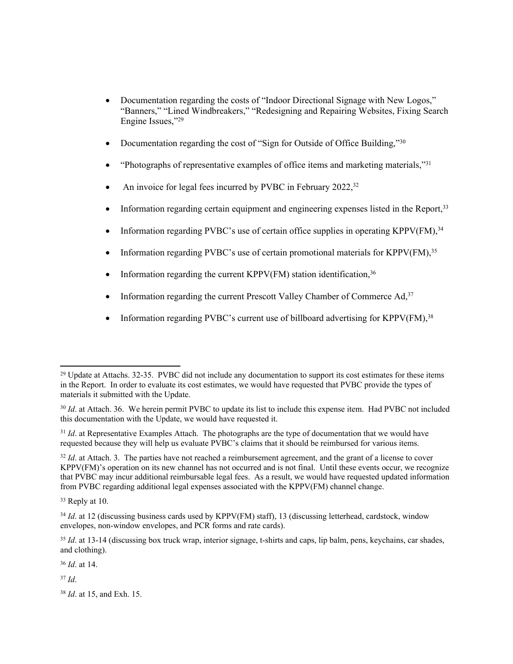- Documentation regarding the costs of "Indoor Directional Signage with New Logos," "Banners," "Lined Windbreakers," "Redesigning and Repairing Websites, Fixing Search Engine Issues,"<sup>29</sup>
- Documentation regarding the cost of "Sign for Outside of Office Building,"<sup>30</sup>
- "Photographs of representative examples of office items and marketing materials,"<sup>31</sup>
- An invoice for legal fees incurred by PVBC in February  $2022$ ,<sup>32</sup>
- Information regarding certain equipment and engineering expenses listed in the Report,  $33$
- Information regarding PVBC's use of certain office supplies in operating KPPV(FM),<sup>34</sup>
- Information regarding PVBC's use of certain promotional materials for KPPV(FM),  $35$
- Information regarding the current KPPV(FM) station identification,  $36$
- Information regarding the current Prescott Valley Chamber of Commerce  $Ad,37$
- Information regarding PVBC's current use of billboard advertising for KPPV(FM).<sup>38</sup>

<sup>32</sup> *Id.* at Attach. 3. The parties have not reached a reimbursement agreement, and the grant of a license to cover KPPV(FM)'s operation on its new channel has not occurred and is not final. Until these events occur, we recognize that PVBC may incur additional reimbursable legal fees. As a result, we would have requested updated information from PVBC regarding additional legal expenses associated with the KPPV(FM) channel change.

<sup>33</sup> Reply at 10.

<sup>36</sup> *Id*. at 14.

<sup>37</sup> *Id*.

<sup>&</sup>lt;sup>29</sup> Update at Attachs. 32-35. PVBC did not include any documentation to support its cost estimates for these items in the Report. In order to evaluate its cost estimates, we would have requested that PVBC provide the types of materials it submitted with the Update.

<sup>&</sup>lt;sup>30</sup> *Id.* at Attach. 36. We herein permit PVBC to update its list to include this expense item. Had PVBC not included this documentation with the Update, we would have requested it.

<sup>&</sup>lt;sup>31</sup> *Id.* at Representative Examples Attach. The photographs are the type of documentation that we would have requested because they will help us evaluate PVBC's claims that it should be reimbursed for various items.

<sup>&</sup>lt;sup>34</sup> *Id.* at 12 (discussing business cards used by KPPV(FM) staff), 13 (discussing letterhead, cardstock, window envelopes, non-window envelopes, and PCR forms and rate cards).

<sup>&</sup>lt;sup>35</sup> *Id.* at 13-14 (discussing box truck wrap, interior signage, t-shirts and caps, lip balm, pens, keychains, car shades, and clothing).

<sup>38</sup> *Id*. at 15, and Exh. 15.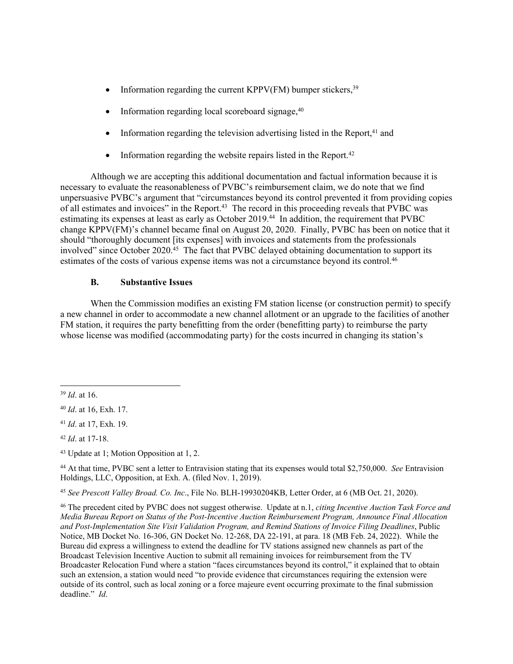- Information regarding the current KPPV(FM) bumper stickers,  $39$
- $\bullet$  Information regarding local scoreboard signage,  $40$
- Information regarding the television advertising listed in the Report, $41$  and
- Information regarding the website repairs listed in the Report.<sup>42</sup>

Although we are accepting this additional documentation and factual information because it is necessary to evaluate the reasonableness of PVBC's reimbursement claim, we do note that we find unpersuasive PVBC's argument that "circumstances beyond its control prevented it from providing copies of all estimates and invoices" in the Report.<sup>43</sup> The record in this proceeding reveals that PVBC was estimating its expenses at least as early as October 2019.<sup>44</sup> In addition, the requirement that PVBC change KPPV(FM)'s channel became final on August 20, 2020. Finally, PVBC has been on notice that it should "thoroughly document [its expenses] with invoices and statements from the professionals involved" since October 2020.<sup>45</sup> The fact that PVBC delayed obtaining documentation to support its estimates of the costs of various expense items was not a circumstance beyond its control.<sup>46</sup>

## **B. Substantive Issues**

When the Commission modifies an existing FM station license (or construction permit) to specify a new channel in order to accommodate a new channel allotment or an upgrade to the facilities of another FM station, it requires the party benefitting from the order (benefitting party) to reimburse the party whose license was modified (accommodating party) for the costs incurred in changing its station's

<sup>44</sup> At that time, PVBC sent a letter to Entravision stating that its expenses would total \$2,750,000. *See* Entravision Holdings, LLC, Opposition, at Exh. A. (filed Nov. 1, 2019).

<sup>45</sup> *See Prescott Valley Broad. Co. Inc*., File No. BLH-19930204KB, Letter Order, at 6 (MB Oct. 21, 2020).

<sup>46</sup> The precedent cited by PVBC does not suggest otherwise. Update at n.1, *citing Incentive Auction Task Force and Media Bureau Report on Status of the Post-Incentive Auction Reimbursement Program, Announce Final Allocation and Post-Implementation Site Visit Validation Program, and Remind Stations of Invoice Filing Deadlines*, Public Notice, MB Docket No. 16-306, GN Docket No. 12-268, DA 22-191, at para. 18 (MB Feb. 24, 2022). While the Bureau did express a willingness to extend the deadline for TV stations assigned new channels as part of the Broadcast Television Incentive Auction to submit all remaining invoices for reimbursement from the TV Broadcaster Relocation Fund where a station "faces circumstances beyond its control," it explained that to obtain such an extension, a station would need "to provide evidence that circumstances requiring the extension were outside of its control, such as local zoning or a force majeure event occurring proximate to the final submission deadline." *Id*.

<sup>39</sup> *Id*. at 16.

<sup>40</sup> *Id*. at 16, Exh. 17.

<sup>41</sup> *Id*. at 17, Exh. 19.

<sup>42</sup> *Id*. at 17-18.

<sup>43</sup> Update at 1; Motion Opposition at 1, 2.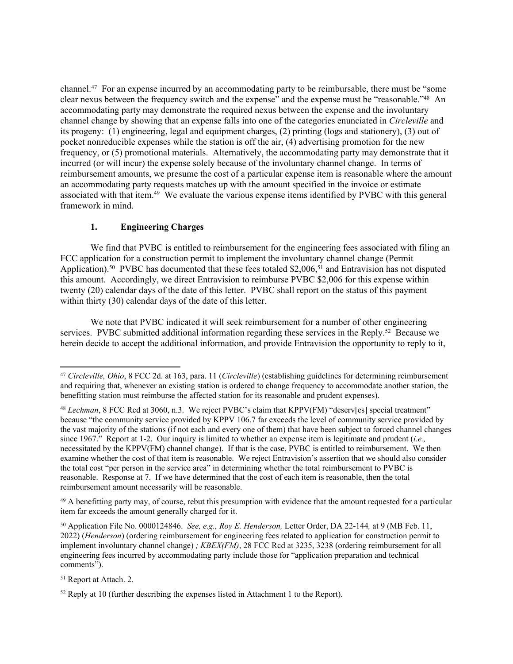channel.<sup>47</sup> For an expense incurred by an accommodating party to be reimbursable, there must be "some clear nexus between the frequency switch and the expense" and the expense must be "reasonable."<sup>48</sup> An accommodating party may demonstrate the required nexus between the expense and the involuntary channel change by showing that an expense falls into one of the categories enunciated in *Circleville* and its progeny: (1) engineering, legal and equipment charges, (2) printing (logs and stationery), (3) out of pocket nonreducible expenses while the station is off the air, (4) advertising promotion for the new frequency, or (5) promotional materials. Alternatively, the accommodating party may demonstrate that it incurred (or will incur) the expense solely because of the involuntary channel change. In terms of reimbursement amounts, we presume the cost of a particular expense item is reasonable where the amount an accommodating party requests matches up with the amount specified in the invoice or estimate associated with that item.<sup>49</sup> We evaluate the various expense items identified by PVBC with this general framework in mind.

## **1. Engineering Charges**

We find that PVBC is entitled to reimbursement for the engineering fees associated with filing an FCC application for a construction permit to implement the involuntary channel change (Permit Application).<sup>50</sup> PVBC has documented that these fees totaled \$2,006,<sup>51</sup> and Entravision has not disputed this amount. Accordingly, we direct Entravision to reimburse PVBC \$2,006 for this expense within twenty (20) calendar days of the date of this letter. PVBC shall report on the status of this payment within thirty (30) calendar days of the date of this letter.

We note that PVBC indicated it will seek reimbursement for a number of other engineering services. PVBC submitted additional information regarding these services in the Reply.<sup>52</sup> Because we herein decide to accept the additional information, and provide Entravision the opportunity to reply to it,

 $49$  A benefitting party may, of course, rebut this presumption with evidence that the amount requested for a particular item far exceeds the amount generally charged for it.

<sup>50</sup> Application File No. 0000124846. *See, e.g., Roy E. Henderson,* Letter Order, DA 22-144*,* at 9 (MB Feb. 11, 2022) (*Henderson*) (ordering reimbursement for engineering fees related to application for construction permit to implement involuntary channel change) *; KBEX(FM)*, 28 FCC Rcd at 3235, 3238 (ordering reimbursement for all engineering fees incurred by accommodating party include those for "application preparation and technical comments").

<sup>51</sup> Report at Attach. 2.

<sup>47</sup> *Circleville, Ohio*, 8 FCC 2d. at 163, para. 11 (*Circleville*) (establishing guidelines for determining reimbursement and requiring that, whenever an existing station is ordered to change frequency to accommodate another station, the benefitting station must reimburse the affected station for its reasonable and prudent expenses).

<sup>48</sup> *Lechman*, 8 FCC Rcd at 3060, n.3. We reject PVBC's claim that KPPV(FM) "deserv[es] special treatment" because "the community service provided by KPPV 106.7 far exceeds the level of community service provided by the vast majority of the stations (if not each and every one of them) that have been subject to forced channel changes since 1967." Report at 1-2. Our inquiry is limited to whether an expense item is legitimate and prudent (*i.e.,* necessitated by the KPPV(FM) channel change). If that is the case, PVBC is entitled to reimbursement. We then examine whether the cost of that item is reasonable. We reject Entravision's assertion that we should also consider the total cost "per person in the service area" in determining whether the total reimbursement to PVBC is reasonable. Response at 7. If we have determined that the cost of each item is reasonable, then the total reimbursement amount necessarily will be reasonable.

<sup>52</sup> Reply at 10 (further describing the expenses listed in Attachment 1 to the Report).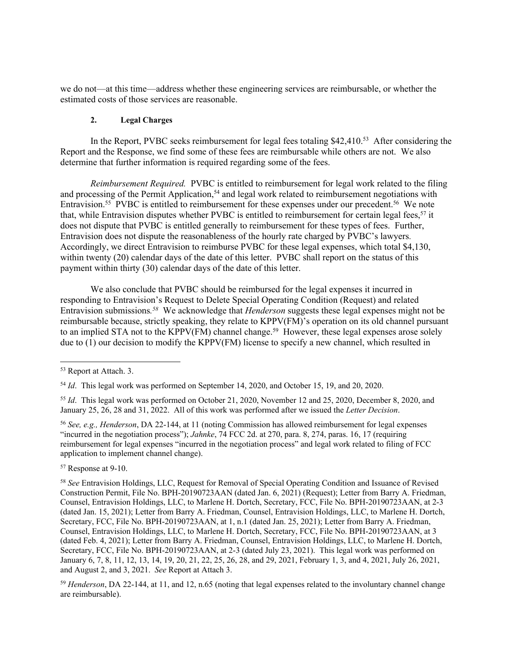we do not—at this time—address whether these engineering services are reimbursable, or whether the estimated costs of those services are reasonable.

## **2. Legal Charges**

In the Report, PVBC seeks reimbursement for legal fees totaling \$42,410.<sup>53</sup> After considering the Report and the Response, we find some of these fees are reimbursable while others are not. We also determine that further information is required regarding some of the fees.

*Reimbursement Required.* PVBC is entitled to reimbursement for legal work related to the filing and processing of the Permit Application,<sup>54</sup> and legal work related to reimbursement negotiations with Entravision.<sup>55</sup> PVBC is entitled to reimbursement for these expenses under our precedent.<sup>56</sup> We note that, while Entravision disputes whether PVBC is entitled to reimbursement for certain legal fees,<sup>57</sup> it does not dispute that PVBC is entitled generally to reimbursement for these types of fees. Further, Entravision does not dispute the reasonableness of the hourly rate charged by PVBC's lawyers. Accordingly, we direct Entravision to reimburse PVBC for these legal expenses, which total \$4,130, within twenty (20) calendar days of the date of this letter. PVBC shall report on the status of this payment within thirty (30) calendar days of the date of this letter.

We also conclude that PVBC should be reimbursed for the legal expenses it incurred in responding to Entravision's Request to Delete Special Operating Condition (Request) and related Entravision submissions.<sup>58</sup> We acknowledge that *Henderson* suggests these legal expenses might not be reimbursable because, strictly speaking, they relate to KPPV(FM)'s operation on its old channel pursuant to an implied STA not to the KPPV(FM) channel change.<sup>59</sup> However, these legal expenses arose solely due to  $(1)$  our decision to modify the KPPV(FM) license to specify a new channel, which resulted in

<sup>53</sup> Report at Attach. 3.

<sup>54</sup> *Id*. This legal work was performed on September 14, 2020, and October 15, 19, and 20, 2020.

<sup>55</sup> *Id*. This legal work was performed on October 21, 2020, November 12 and 25, 2020, December 8, 2020, and January 25, 26, 28 and 31, 2022. All of this work was performed after we issued the *Letter Decision*.

<sup>56</sup> *See, e.g., Henderson*, DA 22-144, at 11 (noting Commission has allowed reimbursement for legal expenses "incurred in the negotiation process"); *Jahnke*, 74 FCC 2d. at 270, para. 8, 274, paras. 16, 17 (requiring reimbursement for legal expenses "incurred in the negotiation process" and legal work related to filing of FCC application to implement channel change).

<sup>57</sup> Response at 9-10.

<sup>58</sup> *See* Entravision Holdings, LLC, Request for Removal of Special Operating Condition and Issuance of Revised Construction Permit, File No. BPH-20190723AAN (dated Jan. 6, 2021) (Request); Letter from Barry A. Friedman, Counsel, Entravision Holdings, LLC, to Marlene H. Dortch, Secretary, FCC, File No. BPH-20190723AAN, at 2-3 (dated Jan. 15, 2021); Letter from Barry A. Friedman, Counsel, Entravision Holdings, LLC, to Marlene H. Dortch, Secretary, FCC, File No. BPH-20190723AAN, at 1, n.1 (dated Jan. 25, 2021); Letter from Barry A. Friedman, Counsel, Entravision Holdings, LLC, to Marlene H. Dortch, Secretary, FCC, File No. BPH-20190723AAN, at 3 (dated Feb. 4, 2021); Letter from Barry A. Friedman, Counsel, Entravision Holdings, LLC, to Marlene H. Dortch, Secretary, FCC, File No. BPH-20190723AAN, at 2-3 (dated July 23, 2021). This legal work was performed on January 6, 7, 8, 11, 12, 13, 14, 19, 20, 21, 22, 25, 26, 28, and 29, 2021, February 1, 3, and 4, 2021, July 26, 2021, and August 2, and 3, 2021. *See* Report at Attach 3.

<sup>59</sup> *Henderson*, DA 22-144, at 11, and 12, n.65 (noting that legal expenses related to the involuntary channel change are reimbursable).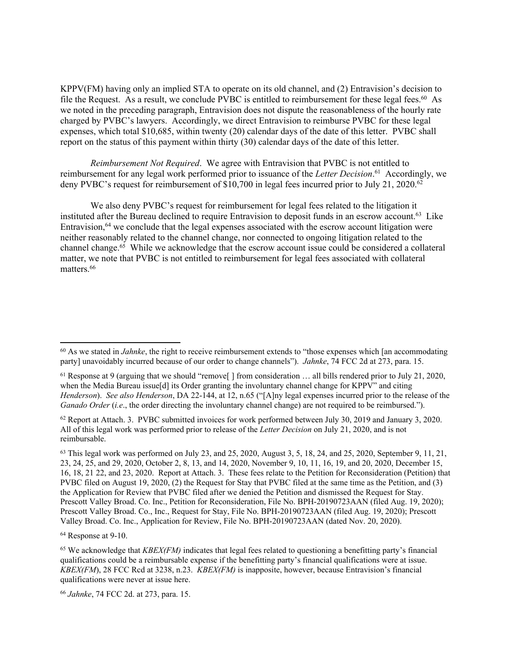KPPV(FM) having only an implied STA to operate on its old channel, and (2) Entravision's decision to file the Request. As a result, we conclude PVBC is entitled to reimbursement for these legal fees.<sup>60</sup> As we noted in the preceding paragraph, Entravision does not dispute the reasonableness of the hourly rate charged by PVBC's lawyers. Accordingly, we direct Entravision to reimburse PVBC for these legal expenses, which total \$10,685, within twenty (20) calendar days of the date of this letter. PVBC shall report on the status of this payment within thirty (30) calendar days of the date of this letter.

*Reimbursement Not Required*. We agree with Entravision that PVBC is not entitled to reimbursement for any legal work performed prior to issuance of the *Letter Decision*. <sup>61</sup> Accordingly, we deny PVBC's request for reimbursement of \$10,700 in legal fees incurred prior to July 21, 2020.<sup>62</sup>

We also deny PVBC's request for reimbursement for legal fees related to the litigation it instituted after the Bureau declined to require Entravision to deposit funds in an escrow account.<sup>63</sup> Like Entravision,<sup>64</sup> we conclude that the legal expenses associated with the escrow account litigation were neither reasonably related to the channel change, nor connected to ongoing litigation related to the channel change.<sup>65</sup> While we acknowledge that the escrow account issue could be considered a collateral matter, we note that PVBC is not entitled to reimbursement for legal fees associated with collateral matters.<sup>66</sup>

<sup>64</sup> Response at 9-10.

<sup>&</sup>lt;sup>60</sup> As we stated in *Jahnke*, the right to receive reimbursement extends to "those expenses which [an accommodating party] unavoidably incurred because of our order to change channels"). *Jahnke*, 74 FCC 2d at 273, para. 15.

 $61$  Response at 9 (arguing that we should "remove  $\vert$  1 from consideration ... all bills rendered prior to July 21, 2020, when the Media Bureau issue<sup>[d]</sup> its Order granting the involuntary channel change for KPPV" and citing *Henderson*). *See also Henderson*, DA 22-144, at 12, n.65 ("[A]ny legal expenses incurred prior to the release of the *Ganado Order* (*i.e.*, the order directing the involuntary channel change) are not required to be reimbursed.").

<sup>62</sup> Report at Attach. 3. PVBC submitted invoices for work performed between July 30, 2019 and January 3, 2020. All of this legal work was performed prior to release of the *Letter Decision* on July 21, 2020, and is not reimbursable.

 $63$  This legal work was performed on July 23, and 25, 2020, August 3, 5, 18, 24, and 25, 2020, September 9, 11, 21, 23, 24, 25, and 29, 2020, October 2, 8, 13, and 14, 2020, November 9, 10, 11, 16, 19, and 20, 2020, December 15, 16, 18, 21 22, and 23, 2020. Report at Attach. 3. These fees relate to the Petition for Reconsideration (Petition) that PVBC filed on August 19, 2020, (2) the Request for Stay that PVBC filed at the same time as the Petition, and (3) the Application for Review that PVBC filed after we denied the Petition and dismissed the Request for Stay. Prescott Valley Broad. Co. Inc., Petition for Reconsideration, File No. BPH-20190723AAN (filed Aug. 19, 2020); Prescott Valley Broad. Co., Inc., Request for Stay, File No. BPH-20190723AAN (filed Aug. 19, 2020); Prescott Valley Broad. Co. Inc., Application for Review, File No. BPH-20190723AAN (dated Nov. 20, 2020).

<sup>65</sup> We acknowledge that *KBEX(FM)* indicates that legal fees related to questioning a benefitting party's financial qualifications could be a reimbursable expense if the benefitting party's financial qualifications were at issue. *KBEX(FM*), 28 FCC Rcd at 3238, n.23. *KBEX(FM)* is inapposite, however, because Entravision's financial qualifications were never at issue here.

<sup>66</sup> *Jahnke*, 74 FCC 2d. at 273, para. 15.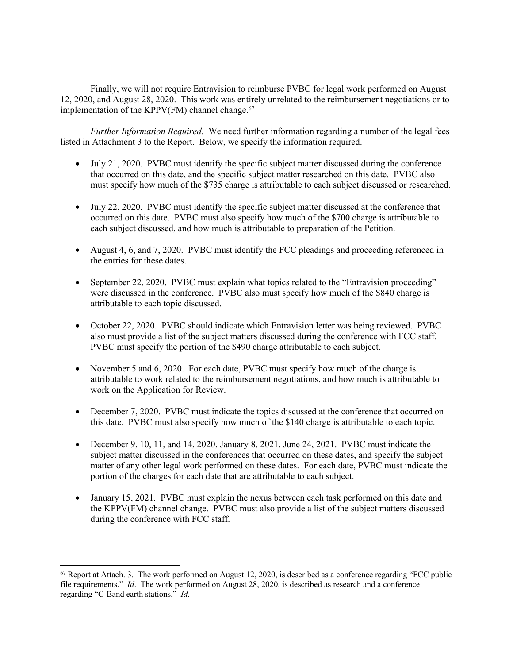Finally, we will not require Entravision to reimburse PVBC for legal work performed on August 12, 2020, and August 28, 2020. This work was entirely unrelated to the reimbursement negotiations or to implementation of the KPPV(FM) channel change. $67$ 

*Further Information Required*. We need further information regarding a number of the legal fees listed in Attachment 3 to the Report. Below, we specify the information required.

- July 21, 2020. PVBC must identify the specific subject matter discussed during the conference that occurred on this date, and the specific subject matter researched on this date. PVBC also must specify how much of the \$735 charge is attributable to each subject discussed or researched.
- July 22, 2020. PVBC must identify the specific subject matter discussed at the conference that occurred on this date. PVBC must also specify how much of the \$700 charge is attributable to each subject discussed, and how much is attributable to preparation of the Petition.
- August 4, 6, and 7, 2020. PVBC must identify the FCC pleadings and proceeding referenced in the entries for these dates.
- September 22, 2020. PVBC must explain what topics related to the "Entravision proceeding" were discussed in the conference. PVBC also must specify how much of the \$840 charge is attributable to each topic discussed.
- October 22, 2020. PVBC should indicate which Entravision letter was being reviewed. PVBC also must provide a list of the subject matters discussed during the conference with FCC staff. PVBC must specify the portion of the \$490 charge attributable to each subject.
- November 5 and 6, 2020. For each date, PVBC must specify how much of the charge is attributable to work related to the reimbursement negotiations, and how much is attributable to work on the Application for Review.
- December 7, 2020. PVBC must indicate the topics discussed at the conference that occurred on this date. PVBC must also specify how much of the \$140 charge is attributable to each topic.
- December 9, 10, 11, and 14, 2020, January 8, 2021, June 24, 2021. PVBC must indicate the subject matter discussed in the conferences that occurred on these dates, and specify the subject matter of any other legal work performed on these dates. For each date, PVBC must indicate the portion of the charges for each date that are attributable to each subject.
- January 15, 2021. PVBC must explain the nexus between each task performed on this date and the KPPV(FM) channel change. PVBC must also provide a list of the subject matters discussed during the conference with FCC staff.

<sup>&</sup>lt;sup>67</sup> Report at Attach. 3. The work performed on August 12, 2020, is described as a conference regarding "FCC public file requirements." *Id*. The work performed on August 28, 2020, is described as research and a conference regarding "C-Band earth stations." *Id*.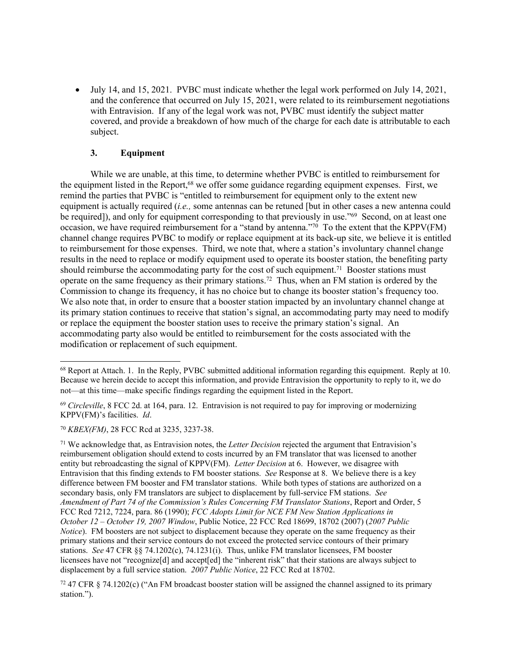July 14, and 15, 2021. PVBC must indicate whether the legal work performed on July 14, 2021, and the conference that occurred on July 15, 2021, were related to its reimbursement negotiations with Entravision. If any of the legal work was not, PVBC must identify the subject matter covered, and provide a breakdown of how much of the charge for each date is attributable to each subject.

## **3. Equipment**

While we are unable, at this time, to determine whether PVBC is entitled to reimbursement for the equipment listed in the Report,<sup>68</sup> we offer some guidance regarding equipment expenses. First, we remind the parties that PVBC is "entitled to reimbursement for equipment only to the extent new equipment is actually required (*i.e.,* some antennas can be retuned [but in other cases a new antenna could be required]), and only for equipment corresponding to that previously in use."<sup>69</sup> Second, on at least one occasion, we have required reimbursement for a "stand by antenna."<sup>70</sup> To the extent that the KPPV(FM) channel change requires PVBC to modify or replace equipment at its back-up site, we believe it is entitled to reimbursement for those expenses. Third, we note that, where a station's involuntary channel change results in the need to replace or modify equipment used to operate its booster station, the benefiting party should reimburse the accommodating party for the cost of such equipment.<sup>71</sup> Booster stations must operate on the same frequency as their primary stations.<sup>72</sup> Thus, when an FM station is ordered by the Commission to change its frequency, it has no choice but to change its booster station's frequency too. We also note that, in order to ensure that a booster station impacted by an involuntary channel change at its primary station continues to receive that station's signal, an accommodating party may need to modify or replace the equipment the booster station uses to receive the primary station's signal. An accommodating party also would be entitled to reimbursement for the costs associated with the modification or replacement of such equipment.

<sup>71</sup> We acknowledge that, as Entravision notes, the *Letter Decision* rejected the argument that Entravision's reimbursement obligation should extend to costs incurred by an FM translator that was licensed to another entity but rebroadcasting the signal of KPPV(FM). *Letter Decision* at 6. However, we disagree with Entravision that this finding extends to FM booster stations. *See* Response at 8. We believe there is a key difference between FM booster and FM translator stations. While both types of stations are authorized on a secondary basis, only FM translators are subject to displacement by full-service FM stations. *See Amendment of Part 74 of the Commission's Rules Concerning FM Translator Stations*, Report and Order, 5 FCC Rcd 7212, 7224, para. 86 (1990); *FCC Adopts Limit for NCE FM New Station Applications in October 12 – October 19, 2007 Window*, Public Notice, 22 FCC Rcd 18699, 18702 (2007) (*2007 Public Notice*). FM boosters are not subject to displacement because they operate on the same frequency as their primary stations and their service contours do not exceed the protected service contours of their primary stations. *See* 47 CFR §§ 74.1202(c), 74.1231(i). Thus, unlike FM translator licensees, FM booster licensees have not "recognize[d] and accept[ed] the "inherent risk" that their stations are always subject to displacement by a full service station. *2007 Public Notice*, 22 FCC Rcd at 18702.

 $72$  47 CFR § 74.1202(c) ("An FM broadcast booster station will be assigned the channel assigned to its primary station.").

<sup>68</sup> Report at Attach. 1. In the Reply, PVBC submitted additional information regarding this equipment. Reply at 10. Because we herein decide to accept this information, and provide Entravision the opportunity to reply to it, we do not—at this time—make specific findings regarding the equipment listed in the Report.

<sup>69</sup> *Circleville*, 8 FCC 2d. at 164, para. 12. Entravision is not required to pay for improving or modernizing KPPV(FM)'s facilities. *Id*.

<sup>70</sup> *KBEX(FM)*, 28 FCC Rcd at 3235, 3237-38.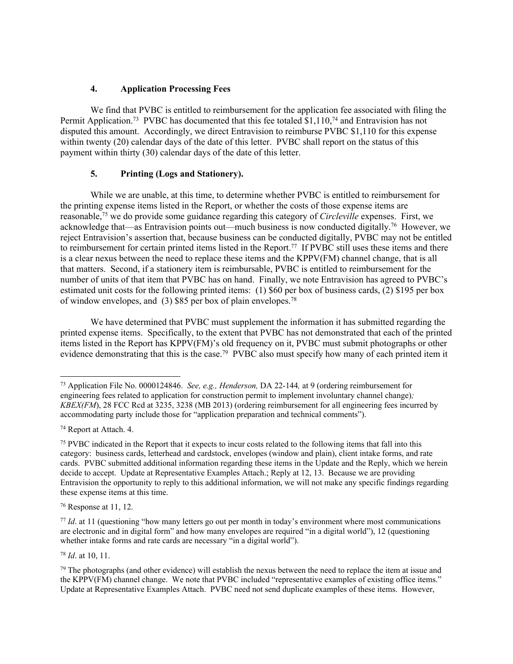## **4. Application Processing Fees**

We find that PVBC is entitled to reimbursement for the application fee associated with filing the Permit Application.<sup>73</sup> PVBC has documented that this fee totaled \$1,110,<sup>74</sup> and Entravision has not disputed this amount. Accordingly, we direct Entravision to reimburse PVBC \$1,110 for this expense within twenty (20) calendar days of the date of this letter. PVBC shall report on the status of this payment within thirty (30) calendar days of the date of this letter.

## **5. Printing (Logs and Stationery).**

While we are unable, at this time, to determine whether PVBC is entitled to reimbursement for the printing expense items listed in the Report, or whether the costs of those expense items are reasonable,<sup>75</sup> we do provide some guidance regarding this category of *Circleville* expenses. First, we acknowledge that—as Entravision points out—much business is now conducted digitally.<sup>76</sup> However, we reject Entravision's assertion that, because business can be conducted digitally, PVBC may not be entitled to reimbursement for certain printed items listed in the Report.<sup>77</sup> If PVBC still uses these items and there is a clear nexus between the need to replace these items and the KPPV(FM) channel change, that is all that matters. Second, if a stationery item is reimbursable, PVBC is entitled to reimbursement for the number of units of that item that PVBC has on hand. Finally, we note Entravision has agreed to PVBC's estimated unit costs for the following printed items: (1) \$60 per box of business cards, (2) \$195 per box of window envelopes, and  $(3)$  \$85 per box of plain envelopes.<sup>78</sup>

We have determined that PVBC must supplement the information it has submitted regarding the printed expense items. Specifically, to the extent that PVBC has not demonstrated that each of the printed items listed in the Report has KPPV(FM)'s old frequency on it, PVBC must submit photographs or other evidence demonstrating that this is the case.<sup>79</sup> PVBC also must specify how many of each printed item it

<sup>78</sup> *Id*. at 10, 11.

<sup>73</sup> Application File No. 0000124846. *See, e.g., Henderson,* DA 22-144*,* at 9 (ordering reimbursement for engineering fees related to application for construction permit to implement involuntary channel change)*; KBEX(FM*), 28 FCC Rcd at 3235, 3238 (MB 2013) (ordering reimbursement for all engineering fees incurred by accommodating party include those for "application preparation and technical comments").

<sup>74</sup> Report at Attach. 4.

<sup>&</sup>lt;sup>75</sup> PVBC indicated in the Report that it expects to incur costs related to the following items that fall into this category: business cards, letterhead and cardstock, envelopes (window and plain), client intake forms, and rate cards. PVBC submitted additional information regarding these items in the Update and the Reply, which we herein decide to accept. Update at Representative Examples Attach.; Reply at 12, 13. Because we are providing Entravision the opportunity to reply to this additional information, we will not make any specific findings regarding these expense items at this time.

<sup>76</sup> Response at 11, 12.

<sup>&</sup>lt;sup>77</sup> *Id.* at 11 (questioning "how many letters go out per month in today's environment where most communications are electronic and in digital form" and how many envelopes are required "in a digital world"), 12 (questioning whether intake forms and rate cards are necessary "in a digital world").

<sup>79</sup> The photographs (and other evidence) will establish the nexus between the need to replace the item at issue and the KPPV(FM) channel change. We note that PVBC included "representative examples of existing office items." Update at Representative Examples Attach. PVBC need not send duplicate examples of these items. However,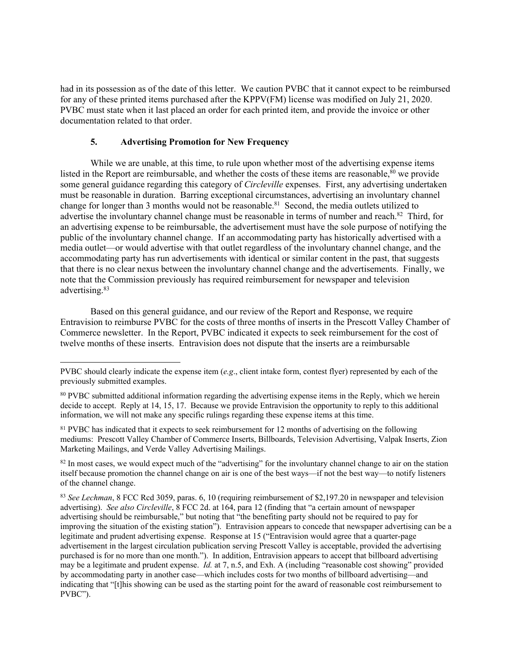had in its possession as of the date of this letter. We caution PVBC that it cannot expect to be reimbursed for any of these printed items purchased after the KPPV(FM) license was modified on July 21, 2020. PVBC must state when it last placed an order for each printed item, and provide the invoice or other documentation related to that order.

#### **5. Advertising Promotion for New Frequency**

While we are unable, at this time, to rule upon whether most of the advertising expense items listed in the Report are reimbursable, and whether the costs of these items are reasonable, $80$  we provide some general guidance regarding this category of *Circleville* expenses. First, any advertising undertaken must be reasonable in duration. Barring exceptional circumstances, advertising an involuntary channel change for longer than 3 months would not be reasonable.<sup>81</sup> Second, the media outlets utilized to advertise the involuntary channel change must be reasonable in terms of number and reach.<sup>82</sup> Third, for an advertising expense to be reimbursable, the advertisement must have the sole purpose of notifying the public of the involuntary channel change. If an accommodating party has historically advertised with a media outlet—or would advertise with that outlet regardless of the involuntary channel change, and the accommodating party has run advertisements with identical or similar content in the past, that suggests that there is no clear nexus between the involuntary channel change and the advertisements. Finally, we note that the Commission previously has required reimbursement for newspaper and television advertising.<sup>83</sup>

Based on this general guidance, and our review of the Report and Response, we require Entravision to reimburse PVBC for the costs of three months of inserts in the Prescott Valley Chamber of Commerce newsletter. In the Report, PVBC indicated it expects to seek reimbursement for the cost of twelve months of these inserts. Entravision does not dispute that the inserts are a reimbursable

<sup>81</sup> PVBC has indicated that it expects to seek reimbursement for 12 months of advertising on the following mediums: Prescott Valley Chamber of Commerce Inserts, Billboards, Television Advertising, Valpak Inserts, Zion Marketing Mailings, and Verde Valley Advertising Mailings.

<sup>82</sup> In most cases, we would expect much of the "advertising" for the involuntary channel change to air on the station itself because promotion the channel change on air is one of the best ways—if not the best way—to notify listeners of the channel change.

<sup>83</sup> *See Lechman*, 8 FCC Rcd 3059, paras. 6, 10 (requiring reimbursement of \$2,197.20 in newspaper and television advertising). *See also Circleville*, 8 FCC 2d. at 164, para 12 (finding that "a certain amount of newspaper advertising should be reimbursable," but noting that "the benefiting party should not be required to pay for improving the situation of the existing station"). Entravision appears to concede that newspaper advertising can be a legitimate and prudent advertising expense. Response at 15 ("Entravision would agree that a quarter-page advertisement in the largest circulation publication serving Prescott Valley is acceptable, provided the advertising purchased is for no more than one month."). In addition, Entravision appears to accept that billboard advertising may be a legitimate and prudent expense. *Id.* at 7, n.5, and Exh. A (including "reasonable cost showing" provided by accommodating party in another case—which includes costs for two months of billboard advertising—and indicating that "[t]his showing can be used as the starting point for the award of reasonable cost reimbursement to PVBC").

PVBC should clearly indicate the expense item (*e.g*., client intake form, contest flyer) represented by each of the previously submitted examples.

<sup>80</sup> PVBC submitted additional information regarding the advertising expense items in the Reply, which we herein decide to accept. Reply at 14, 15, 17. Because we provide Entravision the opportunity to reply to this additional information, we will not make any specific rulings regarding these expense items at this time.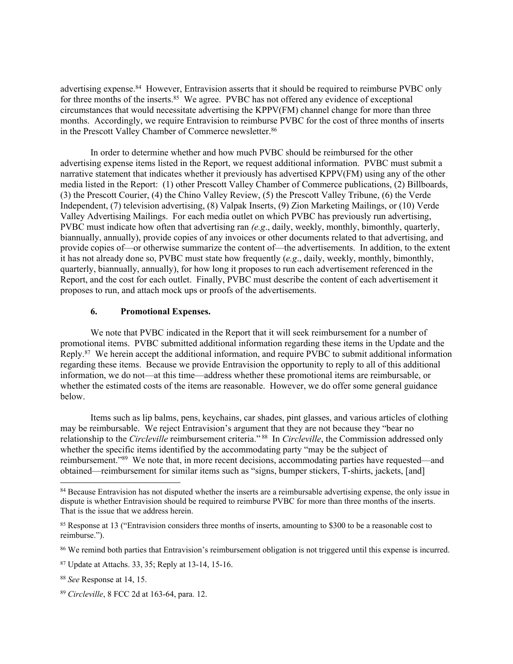advertising expense.<sup>84</sup> However, Entravision asserts that it should be required to reimburse PVBC only for three months of the inserts.<sup>85</sup> We agree. PVBC has not offered any evidence of exceptional circumstances that would necessitate advertising the KPPV(FM) channel change for more than three months. Accordingly, we require Entravision to reimburse PVBC for the cost of three months of inserts in the Prescott Valley Chamber of Commerce newsletter.<sup>86</sup>

In order to determine whether and how much PVBC should be reimbursed for the other advertising expense items listed in the Report, we request additional information. PVBC must submit a narrative statement that indicates whether it previously has advertised KPPV(FM) using any of the other media listed in the Report: (1) other Prescott Valley Chamber of Commerce publications, (2) Billboards, (3) the Prescott Courier, (4) the Chino Valley Review, (5) the Prescott Valley Tribune, (6) the Verde Independent, (7) television advertising, (8) Valpak Inserts, (9) Zion Marketing Mailings, or (10) Verde Valley Advertising Mailings. For each media outlet on which PVBC has previously run advertising, PVBC must indicate how often that advertising ran *(e.g*., daily, weekly, monthly, bimonthly, quarterly, biannually, annually), provide copies of any invoices or other documents related to that advertising, and provide copies of—or otherwise summarize the content of—the advertisements. In addition, to the extent it has not already done so, PVBC must state how frequently (*e.g*., daily, weekly, monthly, bimonthly, quarterly, biannually, annually), for how long it proposes to run each advertisement referenced in the Report, and the cost for each outlet. Finally, PVBC must describe the content of each advertisement it proposes to run, and attach mock ups or proofs of the advertisements.

#### **6. Promotional Expenses.**

We note that PVBC indicated in the Report that it will seek reimbursement for a number of promotional items. PVBC submitted additional information regarding these items in the Update and the Reply.<sup>87</sup> We herein accept the additional information, and require PVBC to submit additional information regarding these items. Because we provide Entravision the opportunity to reply to all of this additional information, we do not—at this time—address whether these promotional items are reimbursable, or whether the estimated costs of the items are reasonable. However, we do offer some general guidance below.

Items such as lip balms, pens, keychains, car shades, pint glasses, and various articles of clothing may be reimbursable. We reject Entravision's argument that they are not because they "bear no relationship to the *Circleville* reimbursement criteria."<sup>88</sup> In *Circleville*, the Commission addressed only whether the specific items identified by the accommodating party "may be the subject of reimbursement."<sup>89</sup> We note that, in more recent decisions, accommodating parties have requested—and obtained—reimbursement for similar items such as "signs, bumper stickers, T-shirts, jackets, [and]

<sup>86</sup> We remind both parties that Entravision's reimbursement obligation is not triggered until this expense is incurred.

<sup>&</sup>lt;sup>84</sup> Because Entravision has not disputed whether the inserts are a reimbursable advertising expense, the only issue in dispute is whether Entravision should be required to reimburse PVBC for more than three months of the inserts. That is the issue that we address herein.

<sup>&</sup>lt;sup>85</sup> Response at 13 ("Entravision considers three months of inserts, amounting to \$300 to be a reasonable cost to reimburse.").

<sup>87</sup> Update at Attachs. 33, 35; Reply at 13-14, 15-16.

<sup>88</sup> *See* Response at 14, 15.

<sup>89</sup> *Circleville*, 8 FCC 2d at 163-64, para. 12.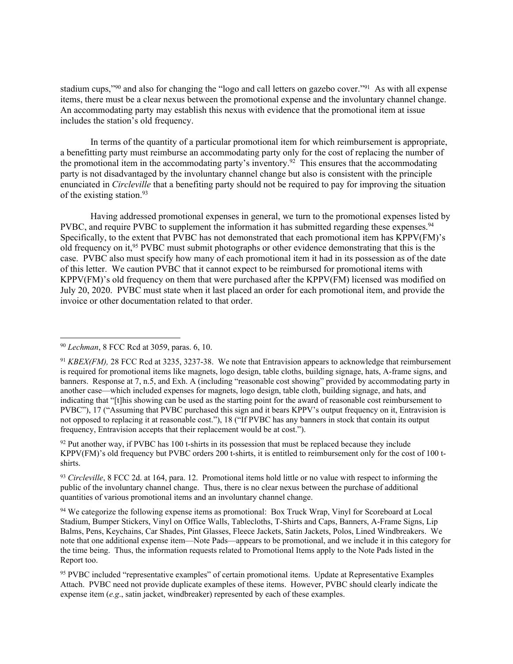stadium cups,"<sup>90</sup> and also for changing the "logo and call letters on gazebo cover."<sup>91</sup> As with all expense items, there must be a clear nexus between the promotional expense and the involuntary channel change. An accommodating party may establish this nexus with evidence that the promotional item at issue includes the station's old frequency.

In terms of the quantity of a particular promotional item for which reimbursement is appropriate, a benefitting party must reimburse an accommodating party only for the cost of replacing the number of the promotional item in the accommodating party's inventory.<sup>92</sup> This ensures that the accommodating party is not disadvantaged by the involuntary channel change but also is consistent with the principle enunciated in *Circleville* that a benefiting party should not be required to pay for improving the situation of the existing station.<sup>93</sup>

Having addressed promotional expenses in general, we turn to the promotional expenses listed by PVBC, and require PVBC to supplement the information it has submitted regarding these expenses.<sup>94</sup> Specifically, to the extent that PVBC has not demonstrated that each promotional item has KPPV(FM)'s old frequency on it,<sup>95</sup> PVBC must submit photographs or other evidence demonstrating that this is the case. PVBC also must specify how many of each promotional item it had in its possession as of the date of this letter. We caution PVBC that it cannot expect to be reimbursed for promotional items with KPPV(FM)'s old frequency on them that were purchased after the KPPV(FM) licensed was modified on July 20, 2020. PVBC must state when it last placed an order for each promotional item, and provide the invoice or other documentation related to that order.

<sup>92</sup> Put another way, if PVBC has 100 t-shirts in its possession that must be replaced because they include KPPV(FM)'s old frequency but PVBC orders 200 t-shirts, it is entitled to reimbursement only for the cost of 100 tshirts.

<sup>93</sup> *Circleville*, 8 FCC 2d. at 164, para. 12. Promotional items hold little or no value with respect to informing the public of the involuntary channel change. Thus, there is no clear nexus between the purchase of additional quantities of various promotional items and an involuntary channel change.

<sup>94</sup> We categorize the following expense items as promotional: Box Truck Wrap, Vinyl for Scoreboard at Local Stadium, Bumper Stickers, Vinyl on Office Walls, Tablecloths, T-Shirts and Caps, Banners, A-Frame Signs, Lip Balms, Pens, Keychains, Car Shades, Pint Glasses, Fleece Jackets, Satin Jackets, Polos, Lined Windbreakers. We note that one additional expense item—Note Pads—appears to be promotional, and we include it in this category for the time being. Thus, the information requests related to Promotional Items apply to the Note Pads listed in the Report too.

<sup>95</sup> PVBC included "representative examples" of certain promotional items. Update at Representative Examples Attach. PVBC need not provide duplicate examples of these items. However, PVBC should clearly indicate the expense item (*e.g*., satin jacket, windbreaker) represented by each of these examples.

<sup>90</sup> *Lechman*, 8 FCC Rcd at 3059, paras. 6, 10.

<sup>91</sup> *KBEX(FM),* 28 FCC Rcd at 3235, 3237-38. We note that Entravision appears to acknowledge that reimbursement is required for promotional items like magnets, logo design, table cloths, building signage, hats, A-frame signs, and banners. Response at 7, n.5, and Exh. A (including "reasonable cost showing" provided by accommodating party in another case—which included expenses for magnets, logo design, table cloth, building signage, and hats, and indicating that "[t]his showing can be used as the starting point for the award of reasonable cost reimbursement to PVBC"), 17 ("Assuming that PVBC purchased this sign and it bears KPPV's output frequency on it, Entravision is not opposed to replacing it at reasonable cost."), 18 ("If PVBC has any banners in stock that contain its output frequency, Entravision accepts that their replacement would be at cost.").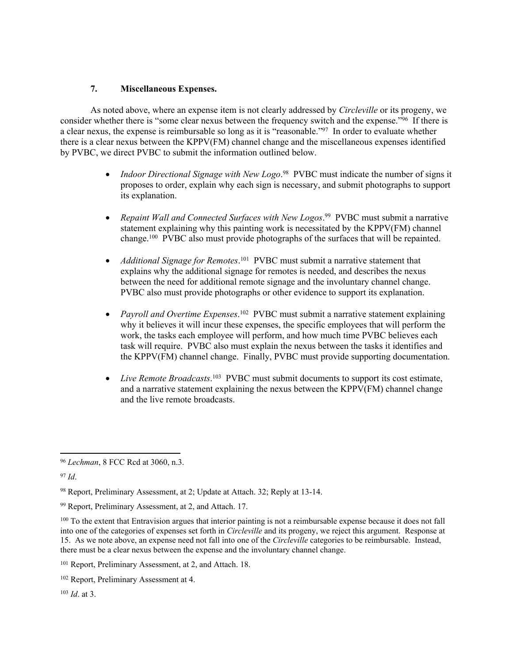## **7. Miscellaneous Expenses.**

As noted above, where an expense item is not clearly addressed by *Circleville* or its progeny, we consider whether there is "some clear nexus between the frequency switch and the expense."<sup>96</sup> If there is a clear nexus, the expense is reimbursable so long as it is "reasonable."<sup>97</sup> In order to evaluate whether there is a clear nexus between the KPPV(FM) channel change and the miscellaneous expenses identified by PVBC, we direct PVBC to submit the information outlined below.

- *Indoor Directional Signage with New Logo*.<sup>98</sup> PVBC must indicate the number of signs it proposes to order, explain why each sign is necessary, and submit photographs to support its explanation.
- *Repaint Wall and Connected Surfaces with New Logos*. <sup>99</sup> PVBC must submit a narrative statement explaining why this painting work is necessitated by the KPPV(FM) channel change.<sup>100</sup> PVBC also must provide photographs of the surfaces that will be repainted.
- *Additional Signage for Remotes*. <sup>101</sup> PVBC must submit a narrative statement that explains why the additional signage for remotes is needed, and describes the nexus between the need for additional remote signage and the involuntary channel change. PVBC also must provide photographs or other evidence to support its explanation.
- *Payroll and Overtime Expenses*.<sup>102</sup> PVBC must submit a narrative statement explaining why it believes it will incur these expenses, the specific employees that will perform the work, the tasks each employee will perform, and how much time PVBC believes each task will require. PVBC also must explain the nexus between the tasks it identifies and the KPPV(FM) channel change. Finally, PVBC must provide supporting documentation.
- *Live Remote Broadcasts*.<sup>103</sup> PVBC must submit documents to support its cost estimate, and a narrative statement explaining the nexus between the  $KPPV(FM)$  channel change and the live remote broadcasts.

<sup>96</sup> *Lechman*, 8 FCC Rcd at 3060, n.3.

<sup>97</sup> *Id*.

<sup>98</sup> Report, Preliminary Assessment, at 2; Update at Attach. 32; Reply at 13-14.

<sup>99</sup> Report, Preliminary Assessment, at 2, and Attach. 17.

<sup>&</sup>lt;sup>100</sup> To the extent that Entravision argues that interior painting is not a reimbursable expense because it does not fall into one of the categories of expenses set forth in *Circleville* and its progeny, we reject this argument. Response at 15. As we note above, an expense need not fall into one of the *Circleville* categories to be reimbursable. Instead, there must be a clear nexus between the expense and the involuntary channel change.

<sup>101</sup> Report, Preliminary Assessment, at 2, and Attach. 18.

<sup>102</sup> Report, Preliminary Assessment at 4.

<sup>103</sup> *Id*. at 3.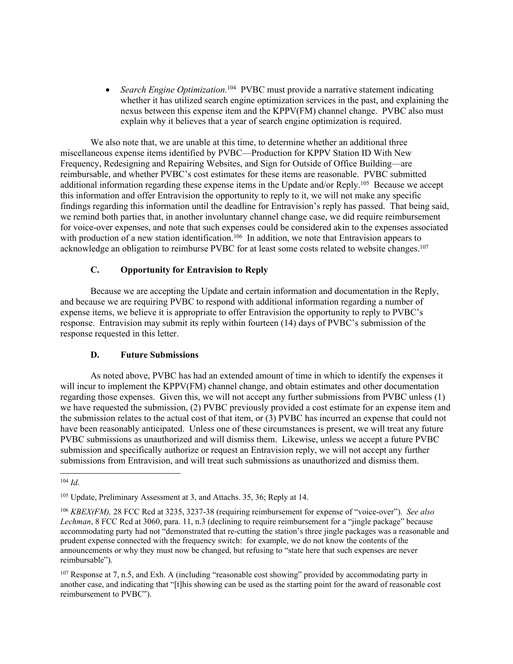• Search Engine Optimization.<sup>104</sup> PVBC must provide a narrative statement indicating whether it has utilized search engine optimization services in the past, and explaining the nexus between this expense item and the KPPV(FM) channel change. PVBC also must explain why it believes that a year of search engine optimization is required.

We also note that, we are unable at this time, to determine whether an additional three miscellaneous expense items identified by PVBC—Production for KPPV Station ID With New Frequency, Redesigning and Repairing Websites, and Sign for Outside of Office Building—are reimbursable, and whether PVBC's cost estimates for these items are reasonable. PVBC submitted additional information regarding these expense items in the Update and/or Reply.<sup>105</sup> Because we accept this information and offer Entravision the opportunity to reply to it, we will not make any specific findings regarding this information until the deadline for Entravision's reply has passed. That being said, we remind both parties that, in another involuntary channel change case, we did require reimbursement for voice-over expenses, and note that such expenses could be considered akin to the expenses associated with production of a new station identification.<sup>106</sup> In addition, we note that Entravision appears to acknowledge an obligation to reimburse PVBC for at least some costs related to website changes.<sup>107</sup>

## **C. Opportunity for Entravision to Reply**

Because we are accepting the Update and certain information and documentation in the Reply, and because we are requiring PVBC to respond with additional information regarding a number of expense items, we believe it is appropriate to offer Entravision the opportunity to reply to PVBC's response. Entravision may submit its reply within fourteen (14) days of PVBC's submission of the response requested in this letter.

## **D. Future Submissions**

As noted above, PVBC has had an extended amount of time in which to identify the expenses it will incur to implement the KPPV(FM) channel change, and obtain estimates and other documentation regarding those expenses. Given this, we will not accept any further submissions from PVBC unless (1) we have requested the submission, (2) PVBC previously provided a cost estimate for an expense item and the submission relates to the actual cost of that item, or (3) PVBC has incurred an expense that could not have been reasonably anticipated. Unless one of these circumstances is present, we will treat any future PVBC submissions as unauthorized and will dismiss them. Likewise, unless we accept a future PVBC submission and specifically authorize or request an Entravision reply, we will not accept any further submissions from Entravision, and will treat such submissions as unauthorized and dismiss them.

<sup>104</sup> *Id*.

<sup>105</sup> Update, Preliminary Assessment at 3, and Attachs. 35, 36; Reply at 14.

<sup>106</sup> *KBEX(FM),* 28 FCC Rcd at 3235, 3237-38 (requiring reimbursement for expense of "voice-over"). *See also Lechman*, 8 FCC Rcd at 3060, para. 11, n.3 (declining to require reimbursement for a "jingle package" because accommodating party had not "demonstrated that re-cutting the station's three jingle packages was a reasonable and prudent expense connected with the frequency switch: for example, we do not know the contents of the announcements or why they must now be changed, but refusing to "state here that such expenses are never reimbursable").

<sup>107</sup> Response at 7, n.5, and Exh. A (including "reasonable cost showing" provided by accommodating party in another case, and indicating that "[t]his showing can be used as the starting point for the award of reasonable cost reimbursement to PVBC").